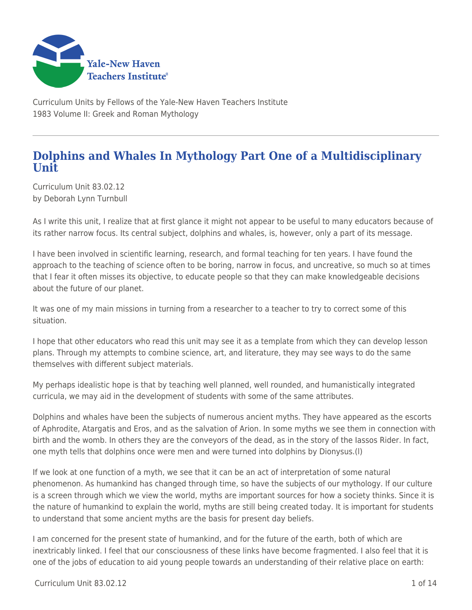

Curriculum Units by Fellows of the Yale-New Haven Teachers Institute 1983 Volume II: Greek and Roman Mythology

## **Dolphins and Whales In Mythology Part One of a Multidisciplinary Unit**

Curriculum Unit 83.02.12 by Deborah Lynn Turnbull

As I write this unit, I realize that at first glance it might not appear to be useful to many educators because of its rather narrow focus. Its central subject, dolphins and whales, is, however, only a part of its message.

I have been involved in scientific learning, research, and formal teaching for ten years. I have found the approach to the teaching of science often to be boring, narrow in focus, and uncreative, so much so at times that I fear it often misses its objective, to educate people so that they can make knowledgeable decisions about the future of our planet.

It was one of my main missions in turning from a researcher to a teacher to try to correct some of this situation.

I hope that other educators who read this unit may see it as a template from which they can develop lesson plans. Through my attempts to combine science, art, and literature, they may see ways to do the same themselves with different subject materials.

My perhaps idealistic hope is that by teaching well planned, well rounded, and humanistically integrated curricula, we may aid in the development of students with some of the same attributes.

Dolphins and whales have been the subjects of numerous ancient myths. They have appeared as the escorts of Aphrodite, Atargatis and Eros, and as the salvation of Arion. In some myths we see them in connection with birth and the womb. In others they are the conveyors of the dead, as in the story of the Iassos Rider. In fact, one myth tells that dolphins once were men and were turned into dolphins by Dionysus.(l)

If we look at one function of a myth, we see that it can be an act of interpretation of some natural phenomenon. As humankind has changed through time, so have the subjects of our mythology. If our culture is a screen through which we view the world, myths are important sources for how a society thinks. Since it is the nature of humankind to explain the world, myths are still being created today. It is important for students to understand that some ancient myths are the basis for present day beliefs.

I am concerned for the present state of humankind, and for the future of the earth, both of which are inextricably linked. I feel that our consciousness of these links have become fragmented. I also feel that it is one of the jobs of education to aid young people towards an understanding of their relative place on earth: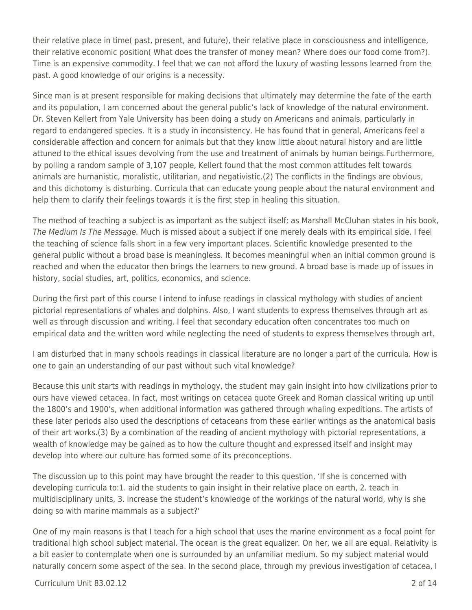their relative place in time( past, present, and future), their relative place in consciousness and intelligence, their relative economic position( What does the transfer of money mean? Where does our food come from?). Time is an expensive commodity. I feel that we can not afford the luxury of wasting lessons learned from the past. A good knowledge of our origins is a necessity.

Since man is at present responsible for making decisions that ultimately may determine the fate of the earth and its population, I am concerned about the general public's lack of knowledge of the natural environment. Dr. Steven Kellert from Yale University has been doing a study on Americans and animals, particularly in regard to endangered species. It is a study in inconsistency. He has found that in general, Americans feel a considerable affection and concern for animals but that they know little about natural history and are little attuned to the ethical issues devolving from the use and treatment of animals by human beings.Furthermore, by polling a random sample of 3,107 people, Kellert found that the most common attitudes felt towards animals are humanistic, moralistic, utilitarian, and negativistic.(2) The conflicts in the findings are obvious, and this dichotomy is disturbing. Curricula that can educate young people about the natural environment and help them to clarify their feelings towards it is the first step in healing this situation.

The method of teaching a subject is as important as the subject itself; as Marshall McCluhan states in his book, The Medium Is The Message. Much is missed about a subject if one merely deals with its empirical side. I feel the teaching of science falls short in a few very important places. Scientific knowledge presented to the general public without a broad base is meaningless. It becomes meaningful when an initial common ground is reached and when the educator then brings the learners to new ground. A broad base is made up of issues in history, social studies, art, politics, economics, and science.

During the first part of this course I intend to infuse readings in classical mythology with studies of ancient pictorial representations of whales and dolphins. Also, I want students to express themselves through art as well as through discussion and writing. I feel that secondary education often concentrates too much on empirical data and the written word while neglecting the need of students to express themselves through art.

I am disturbed that in many schools readings in classical literature are no longer a part of the curricula. How is one to gain an understanding of our past without such vital knowledge?

Because this unit starts with readings in mythology, the student may gain insight into how civilizations prior to ours have viewed cetacea. In fact, most writings on cetacea quote Greek and Roman classical writing up until the 1800's and 1900's, when additional information was gathered through whaling expeditions. The artists of these later periods also used the descriptions of cetaceans from these earlier writings as the anatomical basis of their art works.(3) By a combination of the reading of ancient mythology with pictorial representations, a wealth of knowledge may be gained as to how the culture thought and expressed itself and insight may develop into where our culture has formed some of its preconceptions.

The discussion up to this point may have brought the reader to this question, 'If she is concerned with developing curricula to:1. aid the students to gain insight in their relative place on earth, 2. teach in multidisciplinary units, 3. increase the student's knowledge of the workings of the natural world, why is she doing so with marine mammals as a subject?'

One of my main reasons is that I teach for a high school that uses the marine environment as a focal point for traditional high school subject material. The ocean is the great equalizer. On her, we all are equal. Relativity is a bit easier to contemplate when one is surrounded by an unfamiliar medium. So my subject material would naturally concern some aspect of the sea. In the second place, through my previous investigation of cetacea, I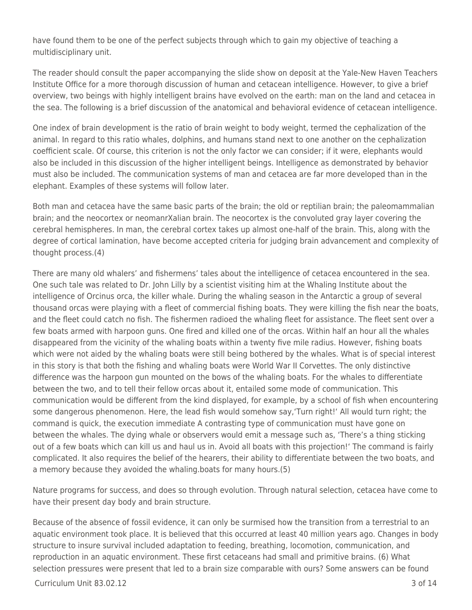have found them to be one of the perfect subjects through which to gain my objective of teaching a multidisciplinary unit.

The reader should consult the paper accompanying the slide show on deposit at the Yale-New Haven Teachers Institute Office for a more thorough discussion of human and cetacean intelligence. However, to give a brief overview, two beings with highly intelligent brains have evolved on the earth: man on the land and cetacea in the sea. The following is a brief discussion of the anatomical and behavioral evidence of cetacean intelligence.

One index of brain development is the ratio of brain weight to body weight, termed the cephalization of the animal. In regard to this ratio whales, dolphins, and humans stand next to one another on the cephalization coefficient scale. Of course, this criterion is not the only factor we can consider; if it were, elephants would also be included in this discussion of the higher intelligent beings. Intelligence as demonstrated by behavior must also be included. The communication systems of man and cetacea are far more developed than in the elephant. Examples of these systems will follow later.

Both man and cetacea have the same basic parts of the brain; the old or reptilian brain; the paleomammalian brain; and the neocortex or neomanrXalian brain. The neocortex is the convoluted gray layer covering the cerebral hemispheres. In man, the cerebral cortex takes up almost one-half of the brain. This, along with the degree of cortical lamination, have become accepted criteria for judging brain advancement and complexity of thought process.(4)

There are many old whalers' and fishermens' tales about the intelligence of cetacea encountered in the sea. One such tale was related to Dr. John Lilly by a scientist visiting him at the Whaling Institute about the intelligence of Orcinus orca, the killer whale. During the whaling season in the Antarctic a group of several thousand orcas were playing with a fleet of commercial fishing boats. They were killing the fish near the boats, and the fleet could catch no fish. The fishermen radioed the whaling fleet for assistance. The fleet sent over a few boats armed with harpoon guns. One fired and killed one of the orcas. Within half an hour all the whales disappeared from the vicinity of the whaling boats within a twenty five mile radius. However, fishing boats which were not aided by the whaling boats were still being bothered by the whales. What is of special interest in this story is that both the fishing and whaling boats were World War II Corvettes. The only distinctive difference was the harpoon gun mounted on the bows of the whaling boats. For the whales to differentiate between the two, and to tell their fellow orcas about it, entailed some mode of communication. This communication would be different from the kind displayed, for example, by a school of fish when encountering some dangerous phenomenon. Here, the lead fish would somehow say,'Turn right!' All would turn right; the command is quick, the execution immediate A contrasting type of communication must have gone on between the whales. The dying whale or observers would emit a message such as, 'There's a thing sticking out of a few boats which can kill us and haul us in. Avoid all boats with this projection!' The command is fairly complicated. It also requires the belief of the hearers, their ability to differentiate between the two boats, and a memory because they avoided the whaling.boats for many hours.(5)

Nature programs for success, and does so through evolution. Through natural selection, cetacea have come to have their present day body and brain structure.

Because of the absence of fossil evidence, it can only be surmised how the transition from a terrestrial to an aquatic environment took place. It is believed that this occurred at least 40 million years ago. Changes in body structure to insure survival included adaptation to feeding, breathing, locomotion, communication, and reproduction in an aquatic environment. These first cetaceans had small and primitive brains. (6) What selection pressures were present that led to a brain size comparable with ours? Some answers can be found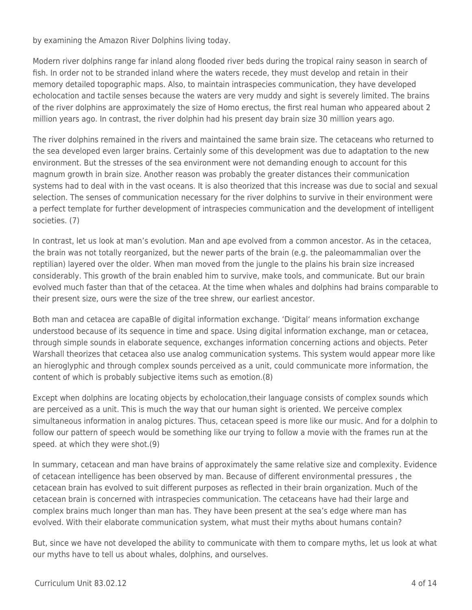by examining the Amazon River Dolphins living today.

Modern river dolphins range far inland along flooded river beds during the tropical rainy season in search of fish. In order not to be stranded inland where the waters recede, they must develop and retain in their memory detailed topographic maps. Also, to maintain intraspecies communication, they have developed echolocation and tactile senses because the waters are very muddy and sight is severely limited. The brains of the river dolphins are approximately the size of Homo erectus, the first real human who appeared about 2 million years ago. In contrast, the river dolphin had his present day brain size 30 million years ago.

The river dolphins remained in the rivers and maintained the same brain size. The cetaceans who returned to the sea developed even larger brains. Certainly some of this development was due to adaptation to the new environment. But the stresses of the sea environment were not demanding enough to account for this magnum growth in brain size. Another reason was probably the greater distances their communication systems had to deal with in the vast oceans. It is also theorized that this increase was due to social and sexual selection. The senses of communication necessary for the river dolphins to survive in their environment were a perfect template for further development of intraspecies communication and the development of intelligent societies. (7)

In contrast, let us look at man's evolution. Man and ape evolved from a common ancestor. As in the cetacea, the brain was not totally reorganized, but the newer parts of the brain (e.g. the paleomammalian over the reptilian) layered over the older. When man moved from the jungle to the plains his brain size increased considerably. This growth of the brain enabled him to survive, make tools, and communicate. But our brain evolved much faster than that of the cetacea. At the time when whales and dolphins had brains comparable to their present size, ours were the size of the tree shrew, our earliest ancestor.

Both man and cetacea are capaBle of digital information exchange. 'Digital' means information exchange understood because of its sequence in time and space. Using digital information exchange, man or cetacea, through simple sounds in elaborate sequence, exchanges information concerning actions and objects. Peter Warshall theorizes that cetacea also use analog communication systems. This system would appear more like an hieroglyphic and through complex sounds perceived as a unit, could communicate more information, the content of which is probably subjective items such as emotion.(8)

Except when dolphins are locating objects by echolocation,their language consists of complex sounds which are perceived as a unit. This is much the way that our human sight is oriented. We perceive complex simultaneous information in analog pictures. Thus, cetacean speed is more like our music. And for a dolphin to follow our pattern of speech would be something like our trying to follow a movie with the frames run at the speed. at which they were shot.(9)

In summary, cetacean and man have brains of approximately the same relative size and complexity. Evidence of cetacean intelligence has been observed by man. Because of different environmental pressures , the cetacean brain has evolved to suit different purposes as reflected in their brain organization. Much of the cetacean brain is concerned with intraspecies communication. The cetaceans have had their large and complex brains much longer than man has. They have been present at the sea's edge where man has evolved. With their elaborate communication system, what must their myths about humans contain?

But, since we have not developed the ability to communicate with them to compare myths, let us look at what our myths have to tell us about whales, dolphins, and ourselves.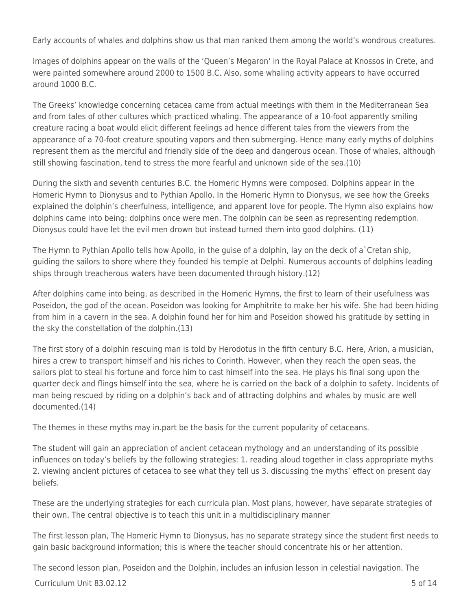Early accounts of whales and dolphins show us that man ranked them among the world's wondrous creatures.

Images of dolphins appear on the walls of the 'Queen's Megaron' in the Royal Palace at Knossos in Crete, and were painted somewhere around 2000 to 1500 B.C. Also, some whaling activity appears to have occurred around 1000 B.C.

The Greeks' knowledge concerning cetacea came from actual meetings with them in the Mediterranean Sea and from tales of other cultures which practiced whaling. The appearance of a 10-foot apparently smiling creature racing a boat would elicit different feelings ad hence different tales from the viewers from the appearance of a 70-foot creature spouting vapors and then submerging. Hence many early myths of dolphins represent them as the merciful and friendly side of the deep and dangerous ocean. Those of whales, although still showing fascination, tend to stress the more fearful and unknown side of the sea.(10)

During the sixth and seventh centuries B.C. the Homeric Hymns were composed. Dolphins appear in the Homeric Hymn to Dionysus and to Pythian Apollo. In the Homeric Hymn to Dionysus, we see how the Greeks explained the dolphin's cheerfulness, intelligence, and apparent love for people. The Hymn also explains how dolphins came into being: dolphins once were men. The dolphin can be seen as representing redemption. Dionysus could have let the evil men drown but instead turned them into good dolphins. (11)

The Hymn to Pythian Apollo tells how Apollo, in the guise of a dolphin, lay on the deck of a`Cretan ship, guiding the sailors to shore where they founded his temple at Delphi. Numerous accounts of dolphins leading ships through treacherous waters have been documented through history.(12)

After dolphins came into being, as described in the Homeric Hymns, the first to learn of their usefulness was Poseidon, the god of the ocean. Poseidon was looking for Amphitrite to make her his wife. She had been hiding from him in a cavern in the sea. A dolphin found her for him and Poseidon showed his gratitude by setting in the sky the constellation of the dolphin.(13)

The first story of a dolphin rescuing man is told by Herodotus in the fifth century B.C. Here, Arion, a musician, hires a crew to transport himself and his riches to Corinth. However, when they reach the open seas, the sailors plot to steal his fortune and force him to cast himself into the sea. He plays his final song upon the quarter deck and flings himself into the sea, where he is carried on the back of a dolphin to safety. Incidents of man being rescued by riding on a dolphin's back and of attracting dolphins and whales by music are well documented.(14)

The themes in these myths may in.part be the basis for the current popularity of cetaceans.

The student will gain an appreciation of ancient cetacean mythology and an understanding of its possible influences on today's beliefs by the following strategies: 1. reading aloud together in class appropriate myths 2. viewing ancient pictures of cetacea to see what they tell us 3. discussing the myths' effect on present day beliefs.

These are the underlying strategies for each curricula plan. Most plans, however, have separate strategies of their own. The central objective is to teach this unit in a multidisciplinary manner

The first lesson plan, The Homeric Hymn to Dionysus, has no separate strategy since the student first needs to gain basic background information; this is where the teacher should concentrate his or her attention.

The second lesson plan, Poseidon and the Dolphin, includes an infusion lesson in celestial navigation. The

 $C$ urriculum Unit 83.02.12  $\qquad \qquad$  5 of 14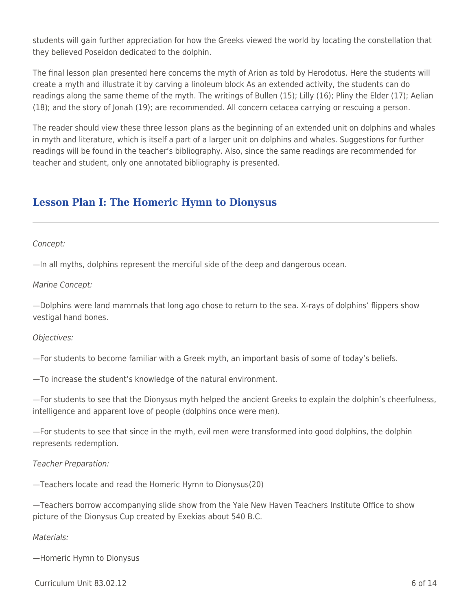students will gain further appreciation for how the Greeks viewed the world by locating the constellation that they believed Poseidon dedicated to the dolphin.

The final lesson plan presented here concerns the myth of Arion as told by Herodotus. Here the students will create a myth and illustrate it by carving a linoleum block As an extended activity, the students can do readings along the same theme of the myth. The writings of Bullen (15); Lilly (16); Pliny the Elder (17); Aelian (18); and the story of Jonah (19); are recommended. All concern cetacea carrying or rescuing a person.

The reader should view these three lesson plans as the beginning of an extended unit on dolphins and whales in myth and literature, which is itself a part of a larger unit on dolphins and whales. Suggestions for further readings will be found in the teacher's bibliography. Also, since the same readings are recommended for teacher and student, only one annotated bibliography is presented.

## **Lesson Plan I: The Homeric Hymn to Dionysus**

Concept:

—In all myths, dolphins represent the merciful side of the deep and dangerous ocean.

Marine Concept:

—Dolphins were land mammals that long ago chose to return to the sea. X-rays of dolphins' flippers show vestigal hand bones.

Objectives:

—For students to become familiar with a Greek myth, an important basis of some of today's beliefs.

—To increase the student's knowledge of the natural environment.

—For students to see that the Dionysus myth helped the ancient Greeks to explain the dolphin's cheerfulness, intelligence and apparent love of people (dolphins once were men).

—For students to see that since in the myth, evil men were transformed into good dolphins, the dolphin represents redemption.

Teacher Preparation:

—Teachers locate and read the Homeric Hymn to Dionysus(20)

—Teachers borrow accompanying slide show from the Yale New Haven Teachers Institute Office to show picture of the Dionysus Cup created by Exekias about 540 B.C.

### Materials:

—Homeric Hymn to Dionysus

 $C$ urriculum Unit 83.02.12 6 of 14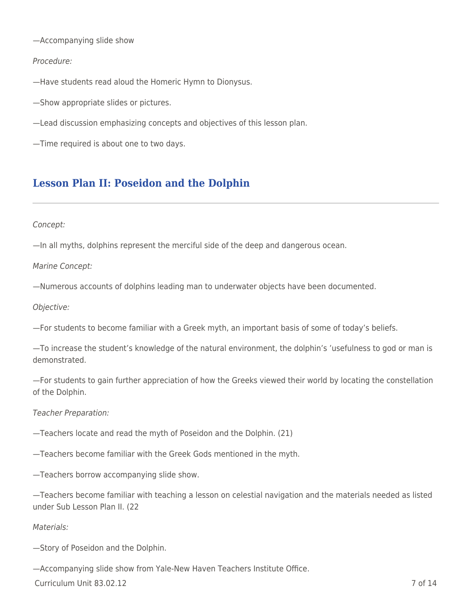—Accompanying slide show

### Procedure:

—Have students read aloud the Homeric Hymn to Dionysus.

—Show appropriate slides or pictures.

—Lead discussion emphasizing concepts and objectives of this lesson plan.

—Time required is about one to two days.

## **Lesson Plan II: Poseidon and the Dolphin**

### Concept:

—In all myths, dolphins represent the merciful side of the deep and dangerous ocean.

Marine Concept:

—Numerous accounts of dolphins leading man to underwater objects have been documented.

Objective:

—For students to become familiar with a Greek myth, an important basis of some of today's beliefs.

—To increase the student's knowledge of the natural environment, the dolphin's 'usefulness to god or man is demonstrated.

—For students to gain further appreciation of how the Greeks viewed their world by locating the constellation of the Dolphin.

Teacher Preparation:

—Teachers locate and read the myth of Poseidon and the Dolphin. (21)

—Teachers become familiar with the Greek Gods mentioned in the myth.

—Teachers borrow accompanying slide show.

—Teachers become familiar with teaching a lesson on celestial navigation and the materials needed as listed under Sub Lesson Plan II. (22

### Materials:

—Story of Poseidon and the Dolphin.

—Accompanying slide show from Yale-New Haven Teachers Institute Office.

Curriculum Unit 83.02.12 7 of 14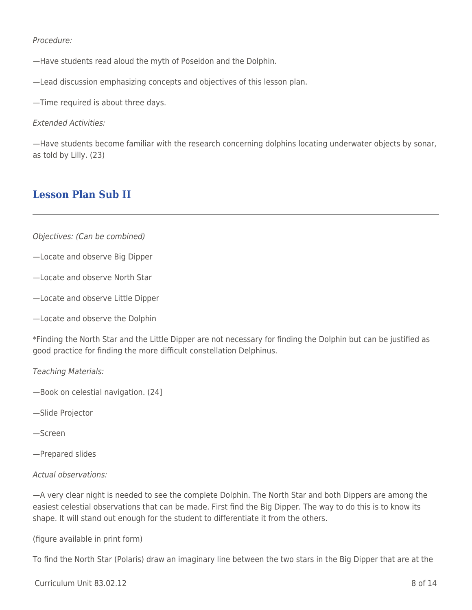Procedure:

—Have students read aloud the myth of Poseidon and the Dolphin.

—Lead discussion emphasizing concepts and objectives of this lesson plan.

—Time required is about three days.

Extended Activities:

—Have students become familiar with the research concerning dolphins locating underwater objects by sonar, as told by Lilly. (23)

## **Lesson Plan Sub II**

- Objectives: (Can be combined)
- —Locate and observe Big Dipper
- —Locate and observe North Star
- —Locate and observe Little Dipper
- —Locate and observe the Dolphin

\*Finding the North Star and the Little Dipper are not necessary for finding the Dolphin but can be justified as good practice for finding the more difficult constellation Delphinus.

Teaching Materials:

- —Book on celestial navigation. (24]
- —Slide Projector
- —Screen
- —Prepared slides

#### Actual observations:

—A very clear night is needed to see the complete Dolphin. The North Star and both Dippers are among the easiest celestial observations that can be made. First find the Big Dipper. The way to do this is to know its shape. It will stand out enough for the student to differentiate it from the others.

(figure available in print form)

To find the North Star (Polaris) draw an imaginary line between the two stars in the Big Dipper that are at the

 $C$ urriculum Unit 83.02.12  $\qquad \qquad$  8 of 14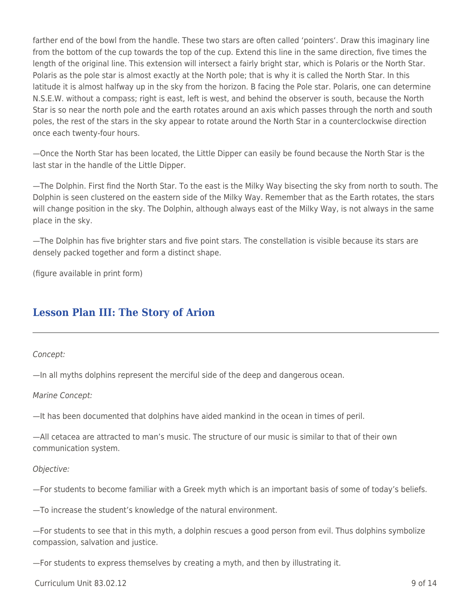farther end of the bowl from the handle. These two stars are often called 'pointers'. Draw this imaginary line from the bottom of the cup towards the top of the cup. Extend this line in the same direction, five times the length of the original line. This extension will intersect a fairly bright star, which is Polaris or the North Star. Polaris as the pole star is almost exactly at the North pole; that is why it is called the North Star. In this latitude it is almost halfway up in the sky from the horizon. B facing the Pole star. Polaris, one can determine N.S.E.W. without a compass; right is east, left is west, and behind the observer is south, because the North Star is so near the north pole and the earth rotates around an axis which passes through the north and south poles, the rest of the stars in the sky appear to rotate around the North Star in a counterclockwise direction once each twenty-four hours.

—Once the North Star has been located, the Little Dipper can easily be found because the North Star is the last star in the handle of the Little Dipper.

—The Dolphin. First find the North Star. To the east is the Milky Way bisecting the sky from north to south. The Dolphin is seen clustered on the eastern side of the Milky Way. Remember that as the Earth rotates, the stars will change position in the sky. The Dolphin, although always east of the Milky Way, is not always in the same place in the sky.

—The Dolphin has five brighter stars and five point stars. The constellation is visible because its stars are densely packed together and form a distinct shape.

(figure available in print form)

# **Lesson Plan III: The Story of Arion**

Concept:

—In all myths dolphins represent the merciful side of the deep and dangerous ocean.

Marine Concept:

—It has been documented that dolphins have aided mankind in the ocean in times of peril.

—All cetacea are attracted to man's music. The structure of our music is similar to that of their own communication system.

### Objective:

—For students to become familiar with a Greek myth which is an important basis of some of today's beliefs.

—To increase the student's knowledge of the natural environment.

—For students to see that in this myth, a dolphin rescues a good person from evil. Thus dolphins symbolize compassion, salvation and justice.

—For students to express themselves by creating a myth, and then by illustrating it.

 $C$ urriculum Unit 83.02.12 9 of 14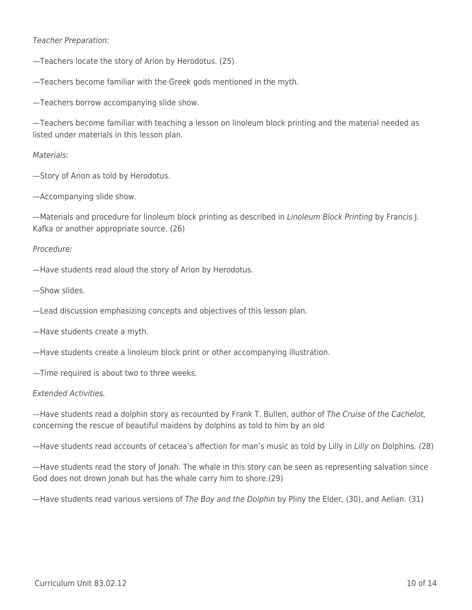### Teacher Preparation:

—Teachers locate the story of Arion by Herodotus. (25)

—Teachers become familiar with the Greek gods mentioned in the myth.

—Teachers borrow accompanying slide show.

—Teachers become familiar with teaching a lesson on linoleum block printing and the material needed as listed under materials in this lesson plan.

#### Materials:

—Story of Arion as told by Herodotus.

—Accompanying slide show.

—Materials and procedure for linoleum block printing as described in Linoleum Block Printing by Francis J. Kafka or another appropriate source. (26)

#### Procedure:

—Have students read aloud the story of Arion by Herodotus.

—Show slides.

—Lead discussion emphasizing concepts and objectives of this lesson plan.

- —Have students create a myth.
- —Have students create a linoleum block print or other accompanying illustration.
- —Time required is about two to three weeks.

### Extended Activities.

—Have students read a dolphin story as recounted by Frank T. Bullen, author of The Cruise of the Cachelot, concerning the rescue of beautiful maidens by dolphins as told to him by an old

—Have students read accounts of cetacea's affection for man's music as told by Lilly in Lilly on Dolphins. (28)

—Have students read the story of Jonah. The whale in this story can be seen as representing salvation since God does not drown Jonah but has the whale carry him to shore.(29)

—Have students read various versions of The Boy and the Dolphin by Pliny the Elder, (30), and Aelian. (31)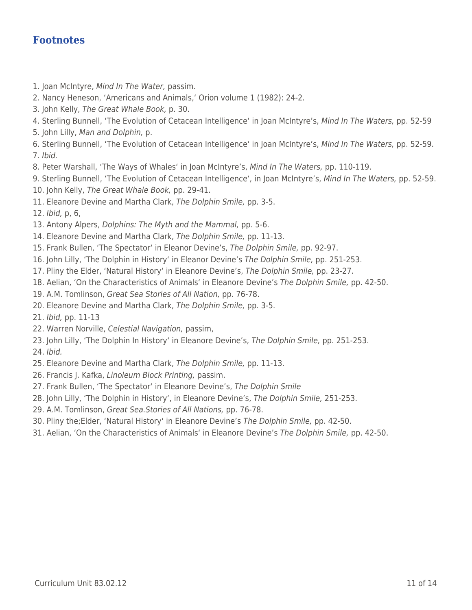## **Footnotes**

- 1. Joan McIntyre, Mind In The Water, passim.
- 2. Nancy Heneson, 'Americans and Animals,' Orion volume 1 (1982): 24-2.
- 3. John Kelly, The Great Whale Book, p. 30.
- 4. Sterling Bunnell, 'The Evolution of Cetacean Intelligence' in Joan McIntyre's, Mind In The Waters, pp. 52-59
- 5. John Lilly, Man and Dolphin, p.
- 6. Sterling Bunnell, 'The Evolution of Cetacean Intelligence' in Joan McIntyre's, Mind In The Waters, pp. 52-59. 7. Ibid.
- 8. Peter Warshall, 'The Ways of Whales' in Joan McIntyre's, Mind In The Waters, pp. 110-119.
- 9. Sterling Bunnell, 'The Evolution of Cetacean Intelligence', in Joan McIntyre's, Mind In The Waters, pp. 52-59.
- 10. John Kelly, The Great Whale Book, pp. 29-41.
- 11. Eleanore Devine and Martha Clark, The Dolphin Smile, pp. 3-5.
- 12. Ibid, p, 6,
- 13. Antony Alpers, Dolphins: The Myth and the Mammal, pp. 5-6.
- 14. Eleanore Devine and Martha Clark, The Dolphin Smile, pp. 11-13.
- 15. Frank Bullen, 'The Spectator' in Eleanor Devine's, The Dolphin Smile, pp. 92-97.
- 16. John Lilly, 'The Dolphin in History' in Eleanor Devine's The Dolphin Smile, pp. 251-253.
- 17. Pliny the Elder, 'Natural History' in Eleanore Devine's, The Dolphin Smile, pp. 23-27.
- 18. Aelian, 'On the Characteristics of Animals' in Eleanore Devine's The Dolphin Smile, pp. 42-50.
- 19. A.M. Tomlinson, Great Sea Stories of All Nation, pp. 76-78.
- 20. Eleanore Devine and Martha Clark, The Dolphin Smile, pp. 3-5.
- 21. Ibid, pp. 11-13
- 22. Warren Norville, Celestial Navigation, passim,
- 23. John Lilly, 'The Dolphin In History' in Eleanore Devine's, The Dolphin Smile, pp. 251-253.
- 24. Ibid.
- 25. Eleanore Devine and Martha Clark, The Dolphin Smile, pp. 11-13.
- 26. Francis J. Kafka, Linoleum Block Printing, passim.
- 27. Frank Bullen, 'The Spectator' in Eleanore Devine's, The Dolphin Smile
- 28. John Lilly, 'The Dolphin in History', in Eleanore Devine's, The Dolphin Smile, 251-253.
- 29. A.M. Tomlinson, Great Sea.Stories of All Nations, pp. 76-78.
- 30. Pliny the;Elder, 'Natural History' in Eleanore Devine's The Dolphin Smile, pp. 42-50.
- 31. Aelian, 'On the Characteristics of Animals' in Eleanore Devine's The Dolphin Smile, pp. 42-50.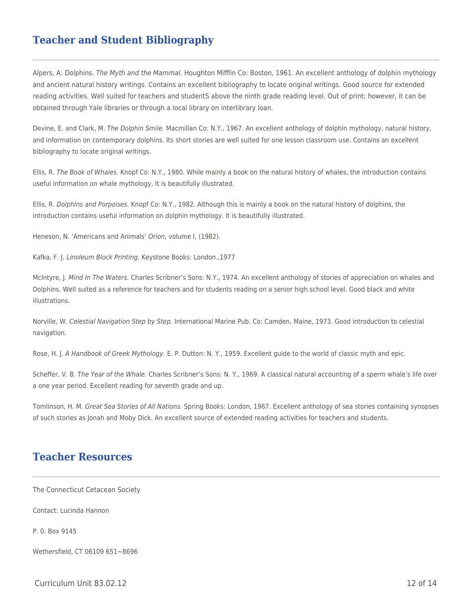## **Teacher and Student Bibliography**

Alpers, A: Dolphins. The Myth and the Mammal. Houghton Mifflin Co: Boston, 1961. An excellent anthology of dolphin mythology and ancient natural history writings. Contains an excellent bibliography to locate original writings. Good source for extended reading activities. Well suited for teachers and studentS above the ninth grade reading level. Out of print; however, it can be obtained through Yale libraries or through a local library on interlibrary loan.

Devine, E. and Clark, M. The Dolphin Smile. Macmillan Co: N.Y., 1967. An excellent anthology of dolphin mythology, natural history, and information on contemporary dolphins. Its short stories are well suited for one lesson classroom use. Contains an excellent bibliography to locate original writings.

Ellis, R. The Book of Whales. Knopf Co: N.Y., 1980. While mainly a book on the natural history of whales, the introduction contains useful information on whale mythology. It is beautifully illustrated.

Ellis, R. Dolphins and Porpoises. Knopf Co: N.Y., 1982. Although this is mainly a book on the natural history of dolphins, the introduction contains useful information on dolphin mythology. It is beautifully illustrated.

Heneson, N. 'Americans and Animals' Orion, volume I, (1982).

Kafka, F. J. Linoleum Block Printing. Keystone Books: London.,1977

McIntyre, J. Mind In The Waters. Charles Scribner's Sons: N.Y., 1974. An excellent anthology of stories of appreciation on whales and Dolphins. Well suited as a reference for teachers and for students reading on a senior high school level. Good black and white illustrations.

Norville, W. Celestial Navigation Step by Step. International Marine Pub. Co: Camden, Maine, 1973. Good introduction to celestial navigation.

Rose, H. J. A Handbook of Greek Mythology. E. P. Dutton: N. Y., 1959. Excellent guide to the world of classic myth and epic.

Scheffer, V. B. The Year of the Whale. Charles Scribner's Sons: N. Y., 1969. A classical natural accounting of a sperm whale's life over a one year period. Excellent reading for seventh grade and up.

Tomlinson, H. M. Great Sea Stories of All Nations. Spring Books: London, 1967. Excellent anthology of sea stories containing synopses of such stories as Jonah and Moby Dick. An excellent source of extended reading activities for teachers and students.

### **Teacher Resources**

The Connecticut Cetacean Society

Contact: Lucinda Hannon

P. 0. Box 9145

Wethersfield, CT 06109 651~8696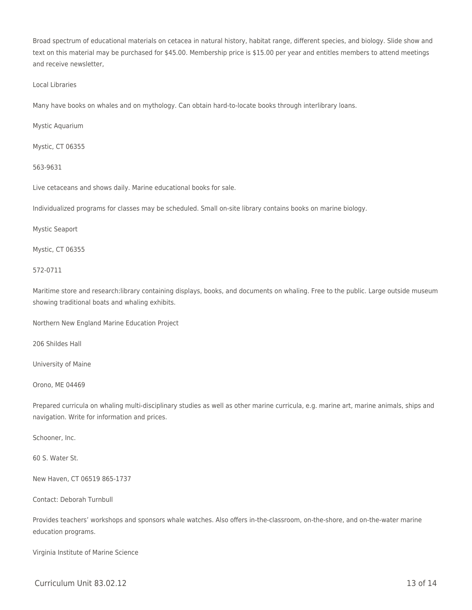Broad spectrum of educational materials on cetacea in natural history, habitat range, different species, and biology. Slide show and text on this material may be purchased for \$45.00. Membership price is \$15.00 per year and entitles members to attend meetings and receive newsletter,

#### Local Libraries

Many have books on whales and on mythology. Can obtain hard-to-locate books through interlibrary loans.

Mystic Aquarium

Mystic, CT 06355

#### 563-9631

Live cetaceans and shows daily. Marine educational books for sale.

Individualized programs for classes may be scheduled. Small on-site library contains books on marine biology.

#### Mystic Seaport

Mystic, CT 06355

#### 572-0711

Maritime store and research:library containing displays, books, and documents on whaling. Free to the public. Large outside museum showing traditional boats and whaling exhibits.

Northern New England Marine Education Project

206 Shildes Hall

University of Maine

Orono, ME 04469

Prepared curricula on whaling multi-disciplinary studies as well as other marine curricula, e.g. marine art, marine animals, ships and navigation. Write for information and prices.

Schooner, Inc.

60 S. Water St.

New Haven, CT 06519 865-1737

Contact: Deborah Turnbull

Provides teachers' workshops and sponsors whale watches. Also offers in-the-classroom, on-the-shore, and on-the-water marine education programs.

Virginia Institute of Marine Science